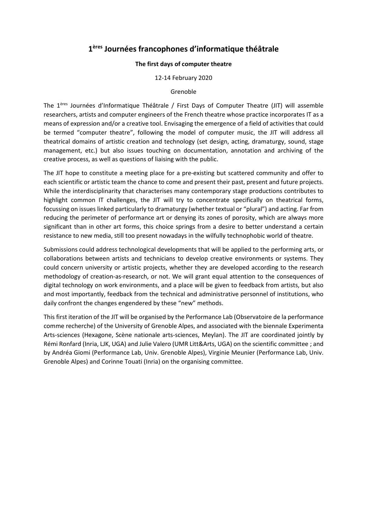## **1 ères Journées francophones d'informatique théâtrale**

## **The first days of computer theatre**

12-14 February 2020

## Grenoble

The 1ères Journées d'Informatique Théâtrale / First Days of Computer Theatre (JIT) will assemble researchers, artists and computer engineers of the French theatre whose practice incorporates IT as a means of expression and/or a creative tool. Envisaging the emergence of a field of activities that could be termed "computer theatre", following the model of computer music, the JIT will address all theatrical domains of artistic creation and technology (set design, acting, dramaturgy, sound, stage management, etc.) but also issues touching on documentation, annotation and archiving of the creative process, as well as questions of liaising with the public.

The JIT hope to constitute a meeting place for a pre-existing but scattered community and offer to each scientific or artistic team the chance to come and present their past, present and future projects. While the interdisciplinarity that characterises many contemporary stage productions contributes to highlight common IT challenges, the JIT will try to concentrate specifically on theatrical forms, focussing on issues linked particularly to dramaturgy (whether textual or "plural") and acting. Far from reducing the perimeter of performance art or denying its zones of porosity, which are always more significant than in other art forms, this choice springs from a desire to better understand a certain resistance to new media, still too present nowadays in the wilfully technophobic world of theatre.

Submissions could address technological developments that will be applied to the performing arts, or collaborations between artists and technicians to develop creative environments or systems. They could concern university or artistic projects, whether they are developed according to the research methodology of creation-as-research, or not. We will grant equal attention to the consequences of digital technology on work environments, and a place will be given to feedback from artists, but also and most importantly, feedback from the technical and administrative personnel of institutions, who daily confront the changes engendered by these "new" methods.

This first iteration of the JIT will be organised by the Performance Lab (Observatoire de la performance comme recherche) of the University of Grenoble Alpes, and associated with the biennale Experimenta Arts-sciences (Hexagone, Scène nationale arts-sciences, Meylan). The JIT are coordinated jointly by Rémi Ronfard (Inria, LJK, UGA) and Julie Valero (UMR Litt&Arts, UGA) on the scientific committee ; and by Andréa Giomi (Performance Lab, Univ. Grenoble Alpes), Virginie Meunier (Performance Lab, Univ. Grenoble Alpes) and Corinne Touati (Inria) on the organising committee.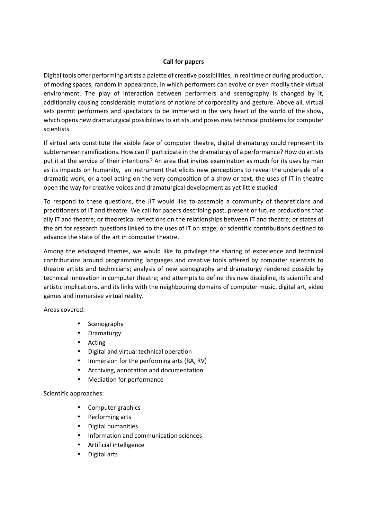## **Call for papers**

Digital tools offer performing artists a palette of creative possibilities, in real time or during production, of moving spaces, random in appearance, in which performers can evolve or even modify their virtual environment. The play of interaction between performers and scenography is changed by it, additionally causing considerable mutations of notions of corporeality and gesture. Above all, virtual sets permit performers and spectators to be immersed in the very heart of the world of the show, which opens new dramaturgical possibilities to artists, and poses new technical problems for computer scientists.

If virtual sets constitute the visible face of computer theatre, digital dramaturgy could represent its subterranean ramifications. How can IT participate in the dramaturgy of a performance? How do artists put it at the service of their intentions? An area that invites examination as much for its uses by man as its impacts on humanity, an instrument that elicits new perceptions to reveal the underside of a dramatic work, or a tool acting on the very composition of a show or text, the uses of IT in theatre open the way for creative voices and dramaturgical development as yet little studied.

To respond to these questions, the JIT would like to assemble a community of theoreticians and practitioners of IT and theatre. We call for papers describing past, present or future productions that ally IT and theatre; or theoretical reflections on the relationships between IT and theatre; or states of the art for research questions linked to the uses of IT on stage; or scientific contributions destined to advance the state of the art in computer theatre.

Among the envisaged themes, we would like to privilege the sharing of experience and technical contributions around programming languages and creative tools offered by computer scientists to theatre artists and technicians; analysis of new scenography and dramaturgy rendered possible by technical innovation in computer theatre; and attempts to define this new discipline, its scientific and artistic implications, and its links with the neighbouring domains of computer music, digital art, video games and immersive virtual reality.

Areas covered:

- Scenography
- Dramaturgy
- Acting
- Digital and virtual technical operation
- Immersion for the performing arts (RA, RV)
- Archiving, annotation and documentation
- Mediation for performance

Scientific approaches:

- Computer graphics
- Performing arts
- Digital humanities
- Information and communication sciences
- Artificial intelligence
- Digital arts